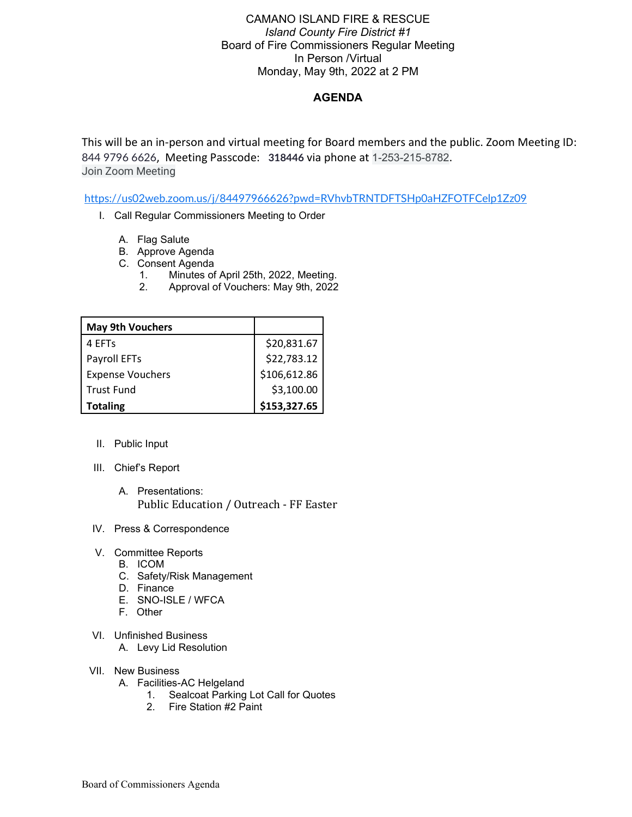## CAMANO ISLAND FIRE & RESCUE *Island County Fire District #1* Board of Fire Commissioners Regular Meeting In Person /Virtual Monday, May 9th, 2022 at 2 PM

## **AGENDA**

This will be an in-person and virtual meeting for Board members and the public. Zoom Meeting ID: 844 9796 6626, Meeting Passcode: **318446** via phone at 1-253-215-8782. Join Zoom Meeting

<https://us02web.zoom.us/j/84497966626?pwd=RVhvbTRNTDFTSHp0aHZFOTFCelp1Zz09>

- I. Call Regular Commissioners Meeting to Order
	- A. Flag Salute
	- B. Approve Agenda
	- C. Consent Agenda
		- 1. Minutes of April 25th, 2022, Meeting.
		- 2. Approval of Vouchers: May 9th, 2022

| <b>May 9th Vouchers</b> |              |
|-------------------------|--------------|
| 4 FFTs                  | \$20,831.67  |
| Payroll EFTs            | \$22,783.12  |
| <b>Expense Vouchers</b> | \$106,612.86 |
| <b>Trust Fund</b>       | \$3,100.00   |
| <b>Totaling</b>         | \$153,327.65 |

- II. Public Input
- III. Chief's Report
	- A. Presentations: Public Education / Outreach - FF Easter
- IV. Press & Correspondence
- V. Committee Reports
	- B. ICOM
	- C. Safety/Risk Management
	- D. Finance
	- E. SNO-ISLE / WFCA
	- F. Other
- VI. Unfinished Business
	- A. Levy Lid Resolution
- VII. New Business
	- A. Facilities-AC Helgeland
		- 1. Sealcoat Parking Lot Call for Quotes
		- 2. Fire Station #2 Paint